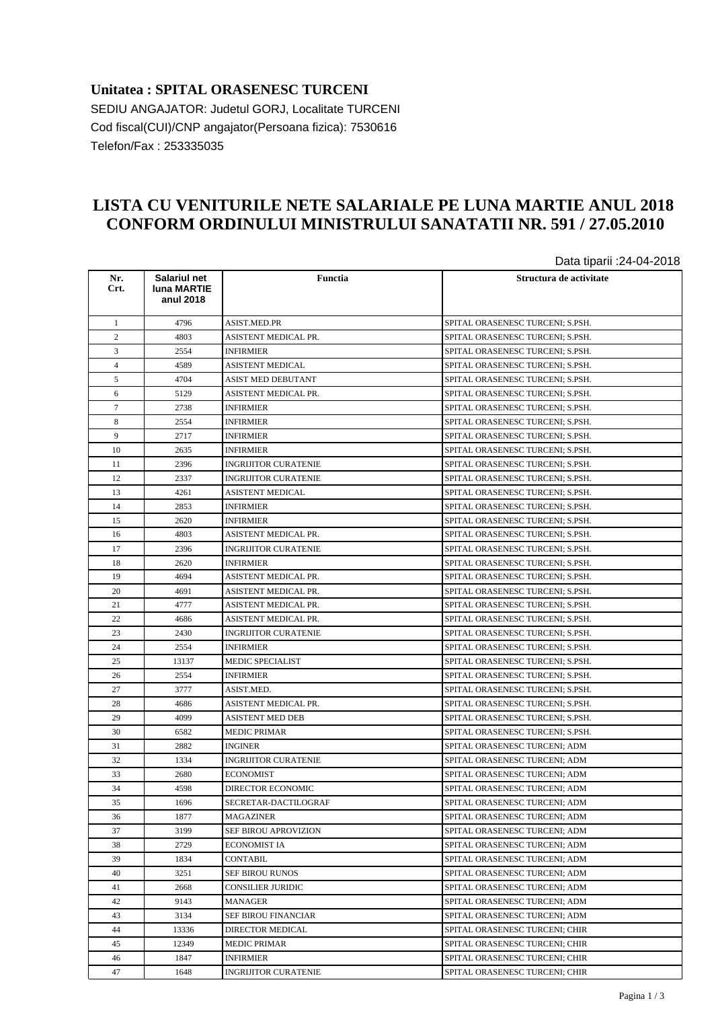## **Unitatea : SPITAL ORASENESC TURCENI** SEDIU ANGAJATOR: Judetul GORJ, Localitate TURCENI Cod fiscal(CUI)/CNP angajator(Persoana fizica): 7530616 Telefon/Fax : 253335035

## **LISTA CU VENITURILE NETE SALARIALE PE LUNA MARTIE ANUL 2018 CONFORM ORDINULUI MINISTRULUI SANATATII NR. 591 / 27.05.2010**

Data tiparii :24-04-2018

| Nr.<br>Crt.    | <b>Salariul net</b><br>luna MARTIE<br>anul 2018 | Functia                     | - ---- --p ---- --<br>Structura de activitate |
|----------------|-------------------------------------------------|-----------------------------|-----------------------------------------------|
| 1              | 4796                                            | ASIST.MED.PR                | SPITAL ORASENESC TURCENI; S.PSH.              |
| $\overline{c}$ | 4803                                            | ASISTENT MEDICAL PR.        | SPITAL ORASENESC TURCENI; S.PSH.              |
| 3              | 2554                                            | INFIRMIER                   | SPITAL ORASENESC TURCENI; S.PSH.              |
| $\overline{4}$ | 4589                                            | ASISTENT MEDICAL            | SPITAL ORASENESC TURCENI; S.PSH.              |
| 5              | 4704                                            | ASIST MED DEBUTANT          | SPITAL ORASENESC TURCENI; S.PSH.              |
| 6              | 5129                                            | ASISTENT MEDICAL PR.        | SPITAL ORASENESC TURCENI; S.PSH.              |
| 7              | 2738                                            | <b>INFIRMIER</b>            | SPITAL ORASENESC TURCENI; S.PSH.              |
| 8              | 2554                                            | <b>INFIRMIER</b>            | SPITAL ORASENESC TURCENI; S.PSH.              |
| 9              | 2717                                            | <b>INFIRMIER</b>            | SPITAL ORASENESC TURCENI; S.PSH.              |
| 10             | 2635                                            | <b>INFIRMIER</b>            | SPITAL ORASENESC TURCENI; S.PSH.              |
| 11             | 2396                                            | <b>INGRIJITOR CURATENIE</b> | SPITAL ORASENESC TURCENI; S.PSH.              |
| 12             | 2337                                            | <b>INGRIJITOR CURATENIE</b> | SPITAL ORASENESC TURCENI; S.PSH.              |
| 13             | 4261                                            | <b>ASISTENT MEDICAL</b>     | SPITAL ORASENESC TURCENI; S.PSH.              |
| 14             | 2853                                            | <b>INFIRMIER</b>            | SPITAL ORASENESC TURCENI; S.PSH.              |
| 15             | 2620                                            | <b>INFIRMIER</b>            | SPITAL ORASENESC TURCENI; S.PSH.              |
| 16             | 4803                                            | ASISTENT MEDICAL PR.        | SPITAL ORASENESC TURCENI; S.PSH.              |
| 17             | 2396                                            | INGRIJITOR CURATENIE        | SPITAL ORASENESC TURCENI; S.PSH.              |
| 18             | 2620                                            | <b>INFIRMIER</b>            | SPITAL ORASENESC TURCENI; S.PSH.              |
| 19             | 4694                                            | ASISTENT MEDICAL PR.        | SPITAL ORASENESC TURCENI; S.PSH.              |
| 20             | 4691                                            | ASISTENT MEDICAL PR.        | SPITAL ORASENESC TURCENI; S.PSH.              |
| 21             | 4777                                            | ASISTENT MEDICAL PR.        | SPITAL ORASENESC TURCENI; S.PSH.              |
| 22             | 4686                                            | ASISTENT MEDICAL PR.        | SPITAL ORASENESC TURCENI; S.PSH.              |
| 23             | 2430                                            | INGRIJITOR CURATENIE        | SPITAL ORASENESC TURCENI; S.PSH.              |
| 24             | 2554                                            | INFIRMIER                   | SPITAL ORASENESC TURCENI; S.PSH.              |
| 25             | 13137                                           | <b>MEDIC SPECIALIST</b>     | SPITAL ORASENESC TURCENI; S.PSH.              |
| 26             | 2554                                            | INFIRMIER                   | SPITAL ORASENESC TURCENI; S.PSH.              |
| 27             | 3777                                            | ASIST.MED.                  | SPITAL ORASENESC TURCENI; S.PSH.              |
| 28             | 4686                                            | ASISTENT MEDICAL PR.        | SPITAL ORASENESC TURCENI; S.PSH.              |
| 29             | 4099                                            | ASISTENT MED DEB            | SPITAL ORASENESC TURCENI; S.PSH.              |
| 30             | 6582                                            | <b>MEDIC PRIMAR</b>         | SPITAL ORASENESC TURCENI; S.PSH.              |
| 31             | 2882                                            | <b>INGINER</b>              | SPITAL ORASENESC TURCENI; ADM                 |
| 32             | 1334                                            | <b>INGRIJITOR CURATENIE</b> | SPITAL ORASENESC TURCENI; ADM                 |
| 33             | 2680                                            | <b>ECONOMIST</b>            | SPITAL ORASENESC TURCENI; ADM                 |
| 34             | 4598                                            | <b>DIRECTOR ECONOMIC</b>    | SPITAL ORASENESC TURCENI; ADM                 |
| 35             | 1696                                            | SECRETAR-DACTILOGRAF        | SPITAL ORASENESC TURCENI; ADM                 |
| 36             | 1877                                            | MAGAZINER                   | SPITAL ORASENESC TURCENI; ADM                 |
| 37             | 3199                                            | SEF BIROU APROVIZION        | SPITAL ORASENESC TURCENI; ADM                 |
| 38             | 2729                                            | <b>ECONOMIST IA</b>         | SPITAL ORASENESC TURCENI; ADM                 |
| 39             | 1834                                            | <b>CONTABIL</b>             | SPITAL ORASENESC TURCENI; ADM                 |
| 40             | 3251                                            | SEF BIROU RUNOS             | SPITAL ORASENESC TURCENI; ADM                 |
| 41             | 2668                                            | <b>CONSILIER JURIDIC</b>    | SPITAL ORASENESC TURCENI; ADM                 |
| 42             | 9143                                            | <b>MANAGER</b>              | SPITAL ORASENESC TURCENI; ADM                 |
| 43             | 3134                                            | SEF BIROU FINANCIAR         | SPITAL ORASENESC TURCENI; ADM                 |
| 44             | 13336                                           | DIRECTOR MEDICAL            | SPITAL ORASENESC TURCENI; CHIR                |
| 45             | 12349                                           | <b>MEDIC PRIMAR</b>         | SPITAL ORASENESC TURCENI; CHIR                |
| 46             | 1847                                            | <b>INFIRMIER</b>            | SPITAL ORASENESC TURCENI; CHIR                |
| 47             | 1648                                            | INGRIJITOR CURATENIE        | SPITAL ORASENESC TURCENI; CHIR                |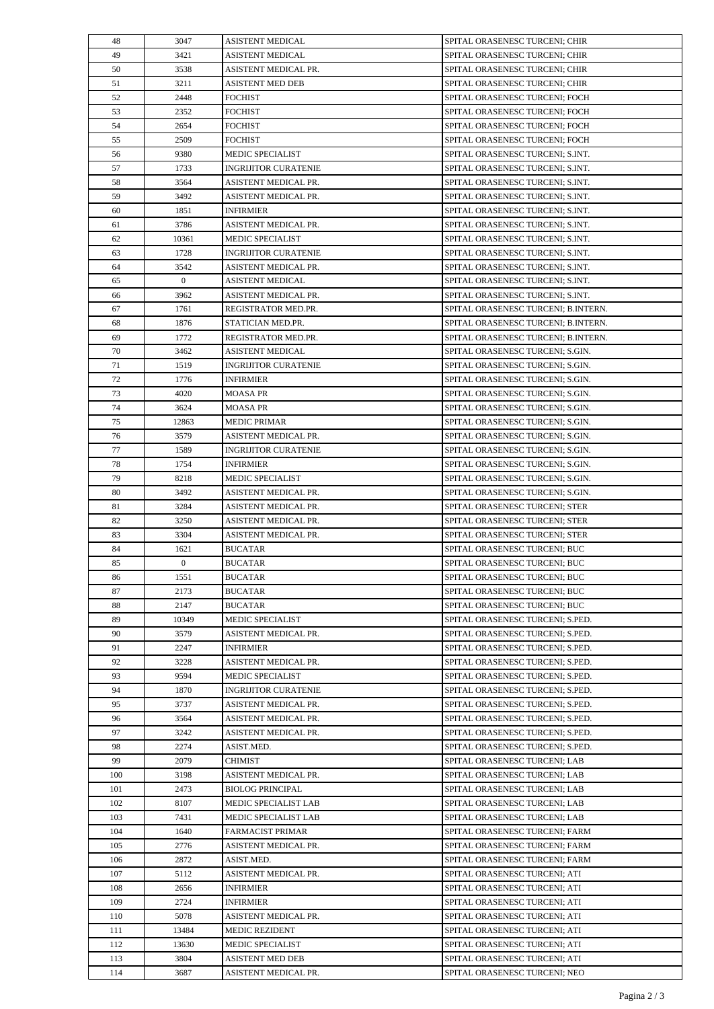| 48  | 3047           | <b>ASISTENT MEDICAL</b>     | SPITAL ORASENESC TURCENI; CHIR      |
|-----|----------------|-----------------------------|-------------------------------------|
| 49  | 3421           | <b>ASISTENT MEDICAL</b>     | SPITAL ORASENESC TURCENI; CHIR      |
| 50  | 3538           | ASISTENT MEDICAL PR.        | SPITAL ORASENESC TURCENI; CHIR      |
| 51  | 3211           | <b>ASISTENT MED DEB</b>     | SPITAL ORASENESC TURCENI; CHIR      |
| 52  | 2448           | <b>FOCHIST</b>              | SPITAL ORASENESC TURCENI; FOCH      |
| 53  | 2352           | <b>FOCHIST</b>              | SPITAL ORASENESC TURCENI; FOCH      |
| 54  | 2654           | <b>FOCHIST</b>              | SPITAL ORASENESC TURCENI; FOCH      |
| 55  | 2509           | <b>FOCHIST</b>              | SPITAL ORASENESC TURCENI; FOCH      |
| 56  | 9380           | MEDIC SPECIALIST            | SPITAL ORASENESC TURCENI; S.INT.    |
| 57  | 1733           | <b>INGRIJITOR CURATENIE</b> | SPITAL ORASENESC TURCENI; S.INT.    |
| 58  | 3564           | ASISTENT MEDICAL PR.        | SPITAL ORASENESC TURCENI; S.INT.    |
| 59  | 3492           | ASISTENT MEDICAL PR.        | SPITAL ORASENESC TURCENI; S.INT.    |
| 60  | 1851           | <b>INFIRMIER</b>            | SPITAL ORASENESC TURCENI; S.INT.    |
| 61  | 3786           | ASISTENT MEDICAL PR.        | SPITAL ORASENESC TURCENI; S.INT.    |
| 62  | 10361          | <b>MEDIC SPECIALIST</b>     | SPITAL ORASENESC TURCENI; S.INT.    |
| 63  | 1728           | <b>INGRIJITOR CURATENIE</b> | SPITAL ORASENESC TURCENI; S.INT.    |
| 64  | 3542           | ASISTENT MEDICAL PR.        | SPITAL ORASENESC TURCENI; S.INT.    |
| 65  | $\overline{0}$ | ASISTENT MEDICAL            | SPITAL ORASENESC TURCENI; S.INT.    |
| 66  | 3962           | ASISTENT MEDICAL PR.        | SPITAL ORASENESC TURCENI; S.INT.    |
| 67  | 1761           | REGISTRATOR MED.PR.         | SPITAL ORASENESC TURCENI; B.INTERN. |
| 68  | 1876           | STATICIAN MED.PR.           | SPITAL ORASENESC TURCENI; B.INTERN. |
| 69  | 1772           | REGISTRATOR MED.PR.         | SPITAL ORASENESC TURCENI; B.INTERN. |
| 70  | 3462           | ASISTENT MEDICAL            | SPITAL ORASENESC TURCENI; S.GIN.    |
| 71  | 1519           | <b>INGRIJITOR CURATENIE</b> | SPITAL ORASENESC TURCENI; S.GIN.    |
| 72  | 1776           | <b>INFIRMIER</b>            | SPITAL ORASENESC TURCENI; S.GIN.    |
| 73  | 4020           | MOASA PR                    | SPITAL ORASENESC TURCENI; S.GIN.    |
| 74  | 3624           | MOASA PR                    | SPITAL ORASENESC TURCENI; S.GIN.    |
|     |                |                             |                                     |
| 75  | 12863<br>3579  | <b>MEDIC PRIMAR</b>         | SPITAL ORASENESC TURCENI; S.GIN.    |
| 76  |                | ASISTENT MEDICAL PR.        | SPITAL ORASENESC TURCENI; S.GIN.    |
| 77  | 1589           | <b>INGRIJITOR CURATENIE</b> | SPITAL ORASENESC TURCENI; S.GIN.    |
| 78  | 1754           | <b>INFIRMIER</b>            | SPITAL ORASENESC TURCENI; S.GIN.    |
| 79  | 8218           | MEDIC SPECIALIST            | SPITAL ORASENESC TURCENI; S.GIN.    |
| 80  | 3492           | ASISTENT MEDICAL PR.        | SPITAL ORASENESC TURCENI; S.GIN.    |
| 81  | 3284           | ASISTENT MEDICAL PR.        | SPITAL ORASENESC TURCENI; STER      |
| 82  | 3250           | ASISTENT MEDICAL PR.        | SPITAL ORASENESC TURCENI; STER      |
| 83  | 3304           | ASISTENT MEDICAL PR.        | SPITAL ORASENESC TURCENI; STER      |
| 84  | 1621           | <b>BUCATAR</b>              | SPITAL ORASENESC TURCENI; BUC       |
| 85  | $\overline{0}$ | <b>BUCATAR</b>              | SPITAL ORASENESC TURCENI; BUC       |
| 86  | 1551           | <b>BUCATAR</b>              | SPITAL ORASENESC TURCENI; BUC       |
| 87  | 2173           | <b>BUCATAR</b>              | SPITAL ORASENESC TURCENI; BUC       |
| 88  | 2147           | BUCATAR                     | SPITAL ORASENESC TURCENI; BUC       |
| 89  | 10349          | <b>MEDIC SPECIALIST</b>     | SPITAL ORASENESC TURCENI; S.PED.    |
| 90  | 3579           | ASISTENT MEDICAL PR.        | SPITAL ORASENESC TURCENI; S.PED.    |
| 91  | 2247           | <b>INFIRMIER</b>            | SPITAL ORASENESC TURCENI; S.PED.    |
| 92  | 3228           | ASISTENT MEDICAL PR.        | SPITAL ORASENESC TURCENI; S.PED.    |
| 93  | 9594           | MEDIC SPECIALIST            | SPITAL ORASENESC TURCENI; S.PED.    |
| 94  | 1870           | INGRIJITOR CURATENIE        | SPITAL ORASENESC TURCENI; S.PED.    |
| 95  | 3737           | ASISTENT MEDICAL PR.        | SPITAL ORASENESC TURCENI; S.PED.    |
| 96  | 3564           | ASISTENT MEDICAL PR.        | SPITAL ORASENESC TURCENI; S.PED.    |
| 97  | 3242           | ASISTENT MEDICAL PR.        | SPITAL ORASENESC TURCENI; S.PED.    |
| 98  | 2274           | ASIST.MED.                  | SPITAL ORASENESC TURCENI; S.PED.    |
| 99  | 2079           | CHIMIST                     | SPITAL ORASENESC TURCENI; LAB       |
| 100 | 3198           | ASISTENT MEDICAL PR.        | SPITAL ORASENESC TURCENI; LAB       |
| 101 | 2473           | <b>BIOLOG PRINCIPAL</b>     | SPITAL ORASENESC TURCENI; LAB       |
| 102 | 8107           | MEDIC SPECIALIST LAB        | SPITAL ORASENESC TURCENI; LAB       |
| 103 | 7431           | MEDIC SPECIALIST LAB        | SPITAL ORASENESC TURCENI; LAB       |
| 104 | 1640           | <b>FARMACIST PRIMAR</b>     | SPITAL ORASENESC TURCENI; FARM      |
| 105 | 2776           | ASISTENT MEDICAL PR.        | SPITAL ORASENESC TURCENI; FARM      |
| 106 | 2872           | ASIST.MED.                  | SPITAL ORASENESC TURCENI; FARM      |
| 107 | 5112           | ASISTENT MEDICAL PR.        | SPITAL ORASENESC TURCENI; ATI       |
| 108 | 2656           | <b>INFIRMIER</b>            | SPITAL ORASENESC TURCENI; ATI       |
| 109 | 2724           | <b>INFIRMIER</b>            | SPITAL ORASENESC TURCENI; ATI       |
| 110 | 5078           | ASISTENT MEDICAL PR.        | SPITAL ORASENESC TURCENI; ATI       |
| 111 | 13484          | MEDIC REZIDENT              | SPITAL ORASENESC TURCENI; ATI       |
| 112 | 13630          | MEDIC SPECIALIST            | SPITAL ORASENESC TURCENI; ATI       |
| 113 | 3804           | ASISTENT MED DEB            | SPITAL ORASENESC TURCENI; ATI       |
| 114 | 3687           | ASISTENT MEDICAL PR.        | SPITAL ORASENESC TURCENI; NEO       |